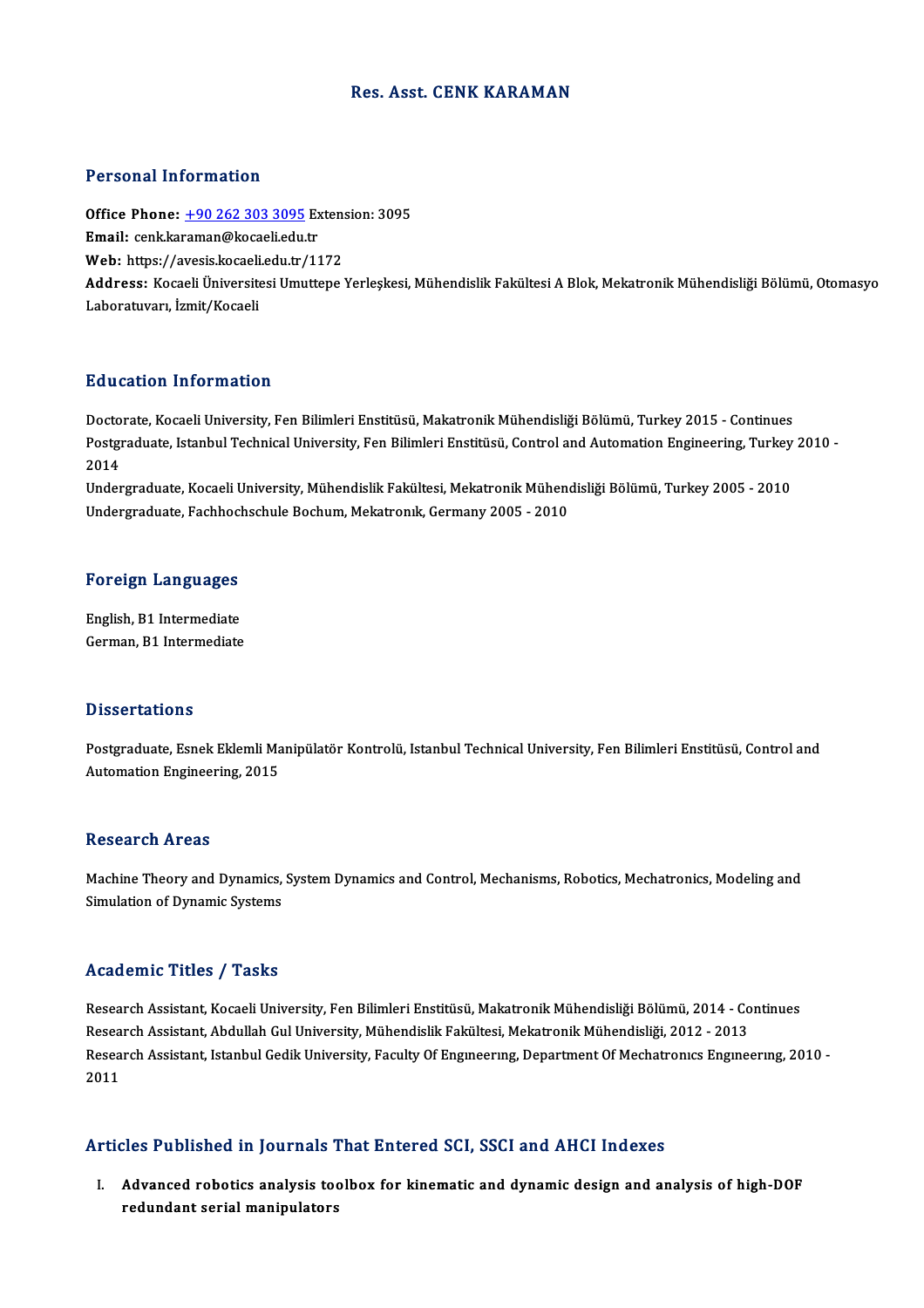### Res. Asst. CENK KARAMAN

### Personal Information

Personal Information<br>Office Phone: <u>+90 262 303 3095</u> Extension: 3095<br>Email: cank karaman@kacaali.edu.tr Processian information<br>Office Phone: <u>+90 262 303 3095</u> Ex<br>Email: cenk.ka[raman@kocaeli.edu.](tel:+90 262 303 3095)tr Office Phone: <u>+90 262 303 3095</u> Extens<br>Email: cenk,karaman@kocaeli.edu.tr<br>Web: https://avesis.kocaeli.edu.tr/1172<br>Address. Kosaeli Üniversitesi Umuttone Email: cenk.karaman@kocaeli.edu.tr<br>Web: https://avesis.kocaeli.edu.tr/1172<br>Address: Kocaeli Üniversitesi Umuttepe Yerleskesi, Mühendislik Fakültesi A Blok, Mekatronik Mühendisliği Bölümü, Otomasyo Laboratuvarı, İzmit/Kocaeli

### Education Information

Education Information<br>Doctorate, Kocaeli University, Fen Bilimleri Enstitüsü, Makatronik Mühendisliği Bölümü, Turkey 2015 - Continues<br>Bostaradusta Istanbul Technical University, Fen Bilimleri Enstitüsü, Control and Automat Buusutsen Timoningeron<br>Doctorate, Kocaeli University, Fen Bilimleri Enstitüsü, Makatronik Mühendisliği Bölümü, Turkey 2015 - Continues<br>Postgraduate, Istanbul Technical University, Fen Bilimleri Enstitüsü, Control and Autom Docto<br>Postgi<br>2014<br>Under Postgraduate, Istanbul Technical University, Fen Bilimleri Enstitüsü, Control and Automation Engineering, Turkey<br>2014<br>Undergraduate, Kocaeli University, Mühendislik Fakültesi, Mekatronik Mühendisliği Bölümü, Turkey 2005 -

2014<br>Undergraduate, Kocaeli University, Mühendislik Fakültesi, Mekatronik Mühendisliği Bölümü, Turkey 2005 - 2010<br>Undergraduate, Fachhochschule Bochum, Mekatronık, Germany 2005 - 2010

# <sub>Undergraduate, rachnoc.</sub><br>Foreign Languages

Foreign Languages<br>English, B1 Intermediate<br>Carman B1 Intermediate English, B1 Intermediate<br>German, B1 Intermediate

### **Dissertations**

Postgraduate, Esnek Eklemli Manipülatör Kontrolü, Istanbul Technical University, Fen Bilimleri Enstitüsü, Control and Automation Engineering, 2015

### **Research Areas**

Research Areas<br>Machine Theory and Dynamics, System Dynamics and Control, Mechanisms, Robotics, Mechatronics, Modeling and<br>Simulation of Dynamic Systems Nebeut on TH eas<br>Machine Theory and Dynamics,<br>Simulation of Dynamic Systems

### Simulation of Dynamic Systems<br>Academic Titles / Tasks

Academic Titles / Tasks<br>Research Assistant, Kocaeli University, Fen Bilimleri Enstitüsü, Makatronik Mühendisliği Bölümü, 2014 - Continues<br>Research Assistant, Abdullah Cul University, Mühendislik Felsültesi, Mekatronik Mühe rredd emre "Frice", "Fashe<br>Research Assistant, Kocaeli University, Fen Bilimleri Enstitüsü, Makatronik Mühendisliği Bölümü, 2014 - Co<br>Research Assistant, Abdullah Gul University, Mühendislik Fakültesi, Mekatronik Mühendisl Research Assistant, Kocaeli University, Fen Bilimleri Enstitüsü, Makatronik Mühendisliği Bölümü, 2014 - Continues<br>Research Assistant, Abdullah Gul University, Mühendislik Fakültesi, Mekatronik Mühendisliği, 2012 - 2013<br>Res Research Assistant, Abdullah Gul University, Mühendislik Fakültesi, Mekatronik Mühendisliği, 2012 - 2013<br>Research Assistant, Istanbul Gedik University, Faculty Of Engmeering, Department Of Mechatronics Engineering, 2010 -<br>

### Articles Published in Journals That Entered SCI, SSCI and AHCI Indexes

I. Advanced robotics analysis toolbox for kinematic and dynamic design and analysis of high-DOF redundant serial manipulators